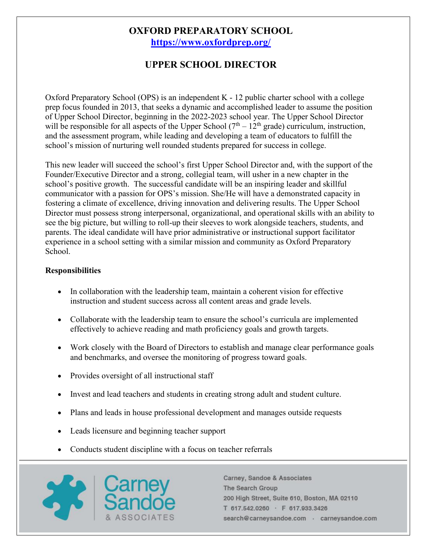## **OXFORD PREPARATORY SCHOOL <https://www.oxfordprep.org/>**

# **UPPER SCHOOL DIRECTOR**

Oxford Preparatory School (OPS) is an independent K - 12 public charter school with a college prep focus founded in 2013, that seeks a dynamic and accomplished leader to assume the position of Upper School Director, beginning in the 2022-2023 school year. The Upper School Director will be responsible for all aspects of the Upper School  $(7<sup>th</sup> - 12<sup>th</sup>$  grade) curriculum, instruction, and the assessment program, while leading and developing a team of educators to fulfill the school's mission of nurturing well rounded students prepared for success in college.

This new leader will succeed the school's first Upper School Director and, with the support of the Founder/Executive Director and a strong, collegial team, will usher in a new chapter in the school's positive growth. The successful candidate will be an inspiring leader and skillful communicator with a passion for OPS's mission. She/He will have a demonstrated capacity in fostering a climate of excellence, driving innovation and delivering results. The Upper School Director must possess strong interpersonal, organizational, and operational skills with an ability to see the big picture, but willing to roll-up their sleeves to work alongside teachers, students, and parents. The ideal candidate will have prior administrative or instructional support facilitator experience in a school setting with a similar mission and community as Oxford Preparatory School.

### **Responsibilities**

- In collaboration with the leadership team, maintain a coherent vision for effective instruction and student success across all content areas and grade levels.
- Collaborate with the leadership team to ensure the school's curricula are implemented effectively to achieve reading and math proficiency goals and growth targets.
- Work closely with the Board of Directors to establish and manage clear performance goals and benchmarks, and oversee the monitoring of progress toward goals.
- Provides oversight of all instructional staff
- Invest and lead teachers and students in creating strong adult and student culture.
- Plans and leads in house professional development and manages outside requests
- Leads licensure and beginning teacher support
- Conducts student discipline with a focus on teacher referrals

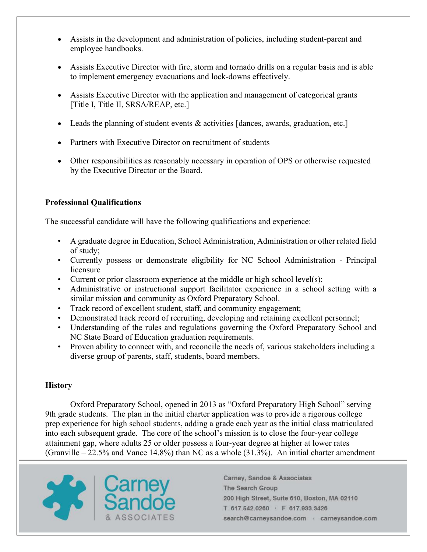- Assists in the development and administration of policies, including student-parent and employee handbooks.
- Assists Executive Director with fire, storm and tornado drills on a regular basis and is able to implement emergency evacuations and lock-downs effectively.
- Assists Executive Director with the application and management of categorical grants [Title I, Title II, SRSA/REAP, etc.]
- Leads the planning of student events & activities [dances, awards, graduation, etc.]
- Partners with Executive Director on recruitment of students
- Other responsibilities as reasonably necessary in operation of OPS or otherwise requested by the Executive Director or the Board.

## **Professional Qualifications**

The successful candidate will have the following qualifications and experience:

- A graduate degree in Education, School Administration, Administration or other related field of study;
- Currently possess or demonstrate eligibility for NC School Administration Principal licensure
- Current or prior classroom experience at the middle or high school level(s);
- Administrative or instructional support facilitator experience in a school setting with a similar mission and community as Oxford Preparatory School.
- Track record of excellent student, staff, and community engagement;
- Demonstrated track record of recruiting, developing and retaining excellent personnel;
- Understanding of the rules and regulations governing the Oxford Preparatory School and NC State Board of Education graduation requirements.
- Proven ability to connect with, and reconcile the needs of, various stakeholders including a diverse group of parents, staff, students, board members.

### **History**

Oxford Preparatory School, opened in 2013 as "Oxford Preparatory High School" serving 9th grade students. The plan in the initial charter application was to provide a rigorous college prep experience for high school students, adding a grade each year as the initial class matriculated into each subsequent grade. The core of the school's mission is to close the four-year college attainment gap, where adults 25 or older possess a four-year degree at higher at lower rates (Granville  $-22.5\%$  and Vance 14.8%) than NC as a whole (31.3%). An initial charter amendment

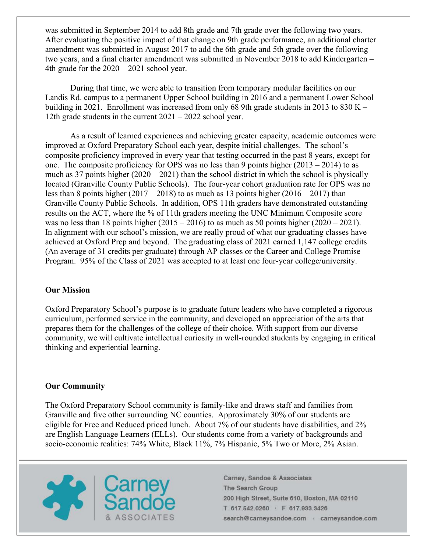was submitted in September 2014 to add 8th grade and 7th grade over the following two years. After evaluating the positive impact of that change on 9th grade performance, an additional charter amendment was submitted in August 2017 to add the 6th grade and 5th grade over the following two years, and a final charter amendment was submitted in November 2018 to add Kindergarten – 4th grade for the 2020 – 2021 school year.

During that time, we were able to transition from temporary modular facilities on our Landis Rd. campus to a permanent Upper School building in 2016 and a permanent Lower School building in 2021. Enrollment was increased from only 68 9th grade students in 2013 to 830 K – 12th grade students in the current 2021 – 2022 school year.

As a result of learned experiences and achieving greater capacity, academic outcomes were improved at Oxford Preparatory School each year, despite initial challenges. The school's composite proficiency improved in every year that testing occurred in the past 8 years, except for one. The composite proficiency for OPS was no less than 9 points higher  $(2013 - 2014)$  to as much as 37 points higher  $(2020 - 2021)$  than the school district in which the school is physically located (Granville County Public Schools). The four-year cohort graduation rate for OPS was no less than 8 points higher  $(2017 - 2018)$  to as much as 13 points higher  $(2016 - 2017)$  than Granville County Public Schools. In addition, OPS 11th graders have demonstrated outstanding results on the ACT, where the % of 11th graders meeting the UNC Minimum Composite score was no less than 18 points higher  $(2015 - 2016)$  to as much as 50 points higher  $(2020 - 2021)$ . In alignment with our school's mission, we are really proud of what our graduating classes have achieved at Oxford Prep and beyond. The graduating class of 2021 earned 1,147 college credits (An average of 31 credits per graduate) through AP classes or the Career and College Promise Program. 95% of the Class of 2021 was accepted to at least one four-year college/university.

### **Our Mission**

Oxford Preparatory School's purpose is to graduate future leaders who have completed a rigorous curriculum, performed service in the community, and developed an appreciation of the arts that prepares them for the challenges of the college of their choice. With support from our diverse community, we will cultivate intellectual curiosity in well-rounded students by engaging in critical thinking and experiential learning.

#### **Our Community**

The Oxford Preparatory School community is family-like and draws staff and families from Granville and five other surrounding NC counties. Approximately 30% of our students are eligible for Free and Reduced priced lunch. About 7% of our students have disabilities, and 2% are English Language Learners (ELLs). Our students come from a variety of backgrounds and socio-economic realities: 74% White, Black 11%, 7% Hispanic, 5% Two or More, 2% Asian.